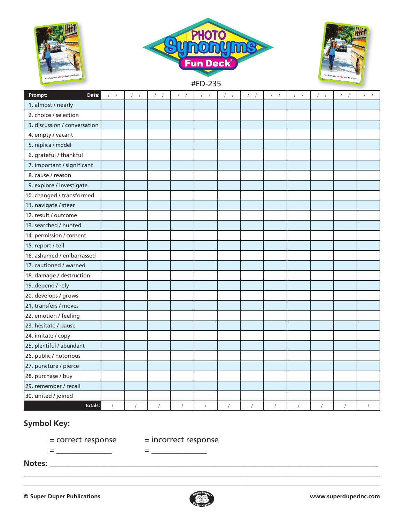





#FD-235

| Prompt:<br>Date:             | $\frac{1}{2}$<br>$\sqrt{2}$ | 1 <sup>1</sup> | $\sqrt{ }$<br>$\sqrt{2}$ | $\frac{1}{2}$ | $\sqrt{2}$<br>$\boldsymbol{f}$ | $\left  \right $ | $\frac{1}{2}$ | $1 - 1$    | $1 - 1$    | $\mathcal{N}$<br>$\sqrt{2}$ | $\frac{1}{2}$ |  |
|------------------------------|-----------------------------|----------------|--------------------------|---------------|--------------------------------|------------------|---------------|------------|------------|-----------------------------|---------------|--|
| 1. almost / nearly           |                             |                |                          |               |                                |                  |               |            |            |                             |               |  |
| 2. choice / selection        |                             |                |                          |               |                                |                  |               |            |            |                             |               |  |
| 3. discussion / conversation |                             |                |                          |               |                                |                  |               |            |            |                             |               |  |
| 4. empty / vacant            |                             |                |                          |               |                                |                  |               |            |            |                             |               |  |
| 5. replica / model           |                             |                |                          |               |                                |                  |               |            |            |                             |               |  |
| 6. grateful / thankful       |                             |                |                          |               |                                |                  |               |            |            |                             |               |  |
| 7. important / significant   |                             |                |                          |               |                                |                  |               |            |            |                             |               |  |
| 8. cause / reason            |                             |                |                          |               |                                |                  |               |            |            |                             |               |  |
| 9. explore / investigate     |                             |                |                          |               |                                |                  |               |            |            |                             |               |  |
| 10. changed / transformed    |                             |                |                          |               |                                |                  |               |            |            |                             |               |  |
| 11. navigate / steer         |                             |                |                          |               |                                |                  |               |            |            |                             |               |  |
| 12. result / outcome         |                             |                |                          |               |                                |                  |               |            |            |                             |               |  |
| 13. searched / hunted        |                             |                |                          |               |                                |                  |               |            |            |                             |               |  |
| 14. permission / consent     |                             |                |                          |               |                                |                  |               |            |            |                             |               |  |
| 15. report / tell            |                             |                |                          |               |                                |                  |               |            |            |                             |               |  |
| 16. ashamed / embarrassed    |                             |                |                          |               |                                |                  |               |            |            |                             |               |  |
| 17. cautioned / warned       |                             |                |                          |               |                                |                  |               |            |            |                             |               |  |
| 18. damage / destruction     |                             |                |                          |               |                                |                  |               |            |            |                             |               |  |
| 19. depend / rely            |                             |                |                          |               |                                |                  |               |            |            |                             |               |  |
| 20. develops / grows         |                             |                |                          |               |                                |                  |               |            |            |                             |               |  |
| 21. transfers / moves        |                             |                |                          |               |                                |                  |               |            |            |                             |               |  |
| 22. emotion / feeling        |                             |                |                          |               |                                |                  |               |            |            |                             |               |  |
| 23. hesitate / pause         |                             |                |                          |               |                                |                  |               |            |            |                             |               |  |
| 24. imitate / copy           |                             |                |                          |               |                                |                  |               |            |            |                             |               |  |
| 25. plentiful / abundant     |                             |                |                          |               |                                |                  |               |            |            |                             |               |  |
| 26. public / notorious       |                             |                |                          |               |                                |                  |               |            |            |                             |               |  |
| 27. puncture / pierce        |                             |                |                          |               |                                |                  |               |            |            |                             |               |  |
| 28. purchase / buy           |                             |                |                          |               |                                |                  |               |            |            |                             |               |  |
| 29. remember / recall        |                             |                |                          |               |                                |                  |               |            |            |                             |               |  |
| 30. united / joined          |                             |                |                          |               |                                |                  |               |            |            |                             |               |  |
| Totals:                      |                             | $\sqrt{ }$     | $\sqrt{ }$               | $\sqrt{ }$    | $\sqrt{ }$                     | $\sqrt{ }$       | $\sqrt{2}$    | $\sqrt{ }$ | $\sqrt{ }$ | $\sqrt{ }$                  | $\sqrt{ }$    |  |

## **Symbol Key:**

= \_\_\_\_\_\_\_\_\_\_\_\_\_\_ = \_\_\_\_\_\_\_\_\_\_\_\_\_\_

= correct response = incorrect response

**Notes:** \_\_\_\_\_\_\_\_\_\_\_\_\_\_\_\_\_\_\_\_\_\_\_\_\_\_\_\_\_\_\_\_\_\_\_\_\_\_\_\_\_\_\_\_\_\_\_\_\_\_\_\_\_\_\_\_\_\_\_\_\_\_\_\_\_\_\_\_\_\_\_\_\_\_\_\_\_\_\_\_\_\_\_